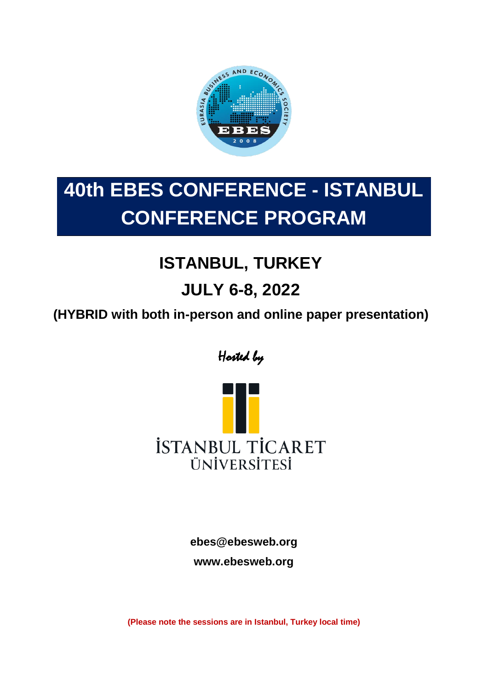

# **40th EBES CONFERENCE - ISTANBUL CONFERENCE PROGRAM**

# **ISTANBUL, TURKEY**

# **JULY 6-8, 2022**

**(HYBRID with both in-person and online paper presentation)**

Hosted by



**[ebes@ebesweb.org](mailto:ebes@ebesweb.org)**

**www.ebesweb.org**

**(Please note the sessions are in Istanbul, Turkey local time)**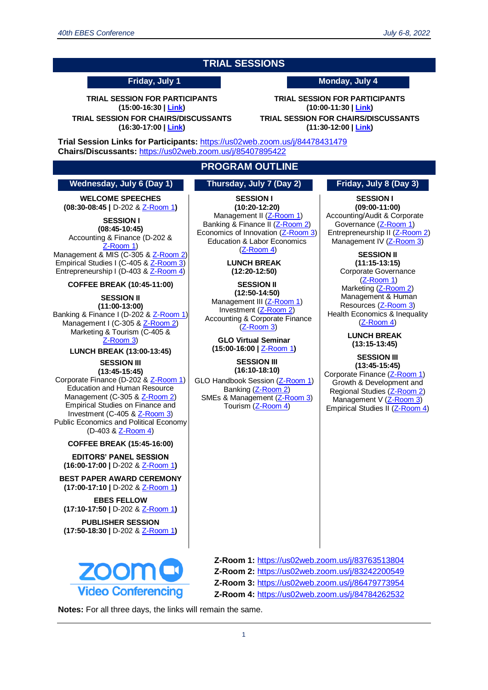### **TRIAL SESSIONS**

**TRIAL SESSION FOR PARTICIPANTS (15:00-16:30 [| Link\)](https://us02web.zoom.us/j/84478431479)**

**TRIAL SESSION FOR CHAIRS/DISCUSSANTS (16:30-17:00 | [Link\)](https://us02web.zoom.us/j/84478431479)**

**Friday, July 1 Monday, July 4**

**TRIAL SESSION FOR PARTICIPANTS (10:00-11:30 | [Link\)](https://us02web.zoom.us/j/84478431479) TRIAL SESSION FOR CHAIRS/DISCUSSANTS**

**(11:30-12:00 | [Link\)](https://us02web.zoom.us/j/85407895422)**

**Trial Session Links for Participants:** <https://us02web.zoom.us/j/84478431479> **Chairs/Discussants:** <https://us02web.zoom.us/j/85407895422>

#### **PROGRAM OUTLINE**

#### **Wednesday, July 6 (Day 1) Thursday, July 7 (Day 2) Friday, July 8 (Day 3)**

**WELCOME SPEECHES (08:30-08:45 |** D-202 & [Z-Room 1](https://us02web.zoom.us/j/83763513804)**)**

**SESSION I (08:45-10:45)** Accounting & Finance (D-202 & [Z-Room 1\)](https://us02web.zoom.us/j/83763513804) Management & MIS (C-305 & [Z-Room 2\)](https://us02web.zoom.us/j/83242200549)

Empirical Studies I (C-405 [& Z-Room 3\)](https://us02web.zoom.us/j/86479773954) Entrepreneurship I (D-403 & [Z-Room 4\)](https://us02web.zoom.us/j/84784262532)

**COFFEE BREAK (10:45-11:00)**

**SESSION II (11:00-13:00)** Banking & Finance I (D-202 & [Z-Room 1\)](https://us02web.zoom.us/j/83763513804) Management I (C-305 & [Z-Room 2\)](https://us02web.zoom.us/j/83242200549) Marketing & Tourism (C-405 & [Z-Room 3\)](https://us02web.zoom.us/j/86479773954)

> **LUNCH BREAK (13:00-13:45) SESSION III**

**(13:45-15:45)**

Corporate Finance (D-202 & [Z-Room 1\)](https://us02web.zoom.us/j/83763513804) Education and Human Resource Management (C-305 [& Z-Room 2\)](https://us02web.zoom.us/j/83242200549) Empirical Studies on Finance and Investment (C-405 & [Z-Room 3\)](https://us02web.zoom.us/j/86479773954) Public Economics and Political Economy (D-403 & [Z-Room 4\)](https://us02web.zoom.us/j/84784262532)

**COFFEE BREAK (15:45-16:00)**

**EDITORS' PANEL SESSION (16:00-17:00 |** D-202 & [Z-Room 1](https://us02web.zoom.us/j/83763513804)**)**

**BEST PAPER AWARD CEREMONY (17:00-17:10 |** D-202 & [Z-Room 1](https://us02web.zoom.us/j/83763513804)**)**

**EBES FELLOW (17:10-17:50 |** D-202 & [Z-Room 1](https://us02web.zoom.us/j/83763513804)**)**

**PUBLISHER SESSION (17:50-18:30 |** D-202 & [Z-Room 1](https://us02web.zoom.us/j/83763513804)**)**



**SESSION I (10:20-12:20)** Management II [\(Z-Room 1\)](https://us02web.zoom.us/j/83763513804) Banking & Finance II [\(Z-Room 2\)](https://us02web.zoom.us/j/83242200549) Economics of Innovation [\(Z-Room 3\)](https://us02web.zoom.us/j/86479773954) Education & Labor Economics [\(Z-Room 4\)](https://us02web.zoom.us/j/84784262532)

**LUNCH BREAK (12:20-12:50)**

**SESSION II (12:50-14:50)** Management III [\(Z-Room 1\)](https://us02web.zoom.us/j/83763513804) Investment [\(Z-Room 2\)](https://us02web.zoom.us/j/83242200549) Accounting & Corporate Finance [\(Z-Room 3\)](https://us02web.zoom.us/j/86479773954)

**GLO Virtual Seminar (15:00-16:00 |** [Z-Room 1](https://us02web.zoom.us/j/83763513804)**)**

#### **SESSION III (16:10-18:10)**

GLO Handbook Session [\(Z-Room 1\)](https://us02web.zoom.us/j/83763513804) Banking [\(Z-Room 2\)](https://us02web.zoom.us/j/83242200549) SMEs & Management [\(Z-Room 3\)](https://us02web.zoom.us/j/86479773954) Tourism [\(Z-Room 4\)](https://us02web.zoom.us/j/84784262532)

**SESSION I (09:00-11:00)** Accounting/Audit & Corporate Governance [\(Z-Room 1\)](https://us02web.zoom.us/j/83763513804) Entrepreneurship II [\(Z-Room 2\)](https://us02web.zoom.us/j/83242200549) Management IV [\(Z-Room 3\)](https://us02web.zoom.us/j/86479773954)

**SESSION II (11:15-13:15)** Corporate Governance [\(Z-Room 1\)](https://us02web.zoom.us/j/83763513804) Marketing [\(Z-Room 2\)](https://us02web.zoom.us/j/83242200549) Management & Human Resources [\(Z-Room 3\)](https://us02web.zoom.us/j/86479773954) Health Economics & Inequality [\(Z-Room 4\)](https://us02web.zoom.us/j/84784262532)

> **LUNCH BREAK (13:15-13:45)**

**SESSION III (13:45-15:45)** Corporate Finance [\(Z-Room 1\)](https://us02web.zoom.us/j/83763513804) Growth & Development and Regional Studies [\(Z-Room 2\)](https://us02web.zoom.us/j/83242200549) Management V [\(Z-Room 3\)](https://us02web.zoom.us/j/86479773954) Empirical Studies II [\(Z-Room 4\)](https://us02web.zoom.us/j/84784262532)

**Z-Room 1:** <https://us02web.zoom.us/j/83763513804> **Z-Room 2:** <https://us02web.zoom.us/j/83242200549> **Z-Room 3:** <https://us02web.zoom.us/j/86479773954> **Z-Room 4:** <https://us02web.zoom.us/j/84784262532>

**Notes:** For all three days, the links will remain the same.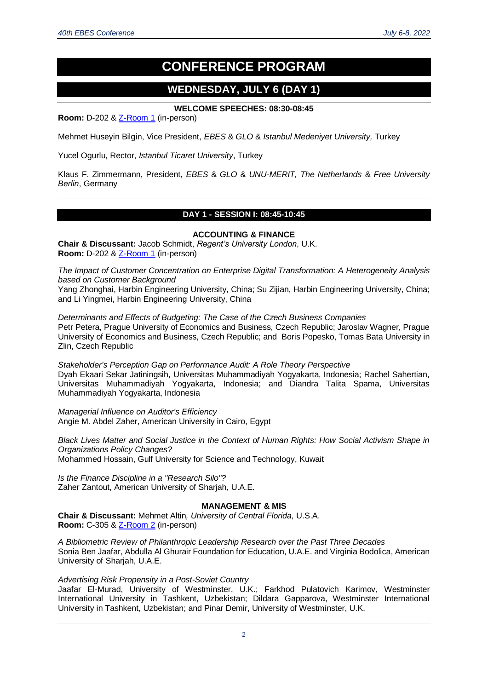# **CONFERENCE PROGRAM**

## **WEDNESDAY, JULY 6 (DAY 1)**

#### **WELCOME SPEECHES: 08:30-08:45**

**Room:** D-202 &  $Z$ -Room 1 (in-person)

Mehmet Huseyin Bilgin, Vice President, *EBES* & *GLO* & *Istanbul Medeniyet University,* Turkey

Yucel Ogurlu, Rector, *Istanbul Ticaret University*, Turkey

Klaus F. Zimmermann, President, *EBES* & *GLO* & *UNU-MERIT, The Netherlands* & *Free University Berlin*, Germany

#### **DAY 1 - SESSION I: 08:45-10:45**

#### **ACCOUNTING & FINANCE**

**Chair & Discussant:** Jacob Schmidt, *Regent's University London*, U.K. **Room:** D-202 & [Z-Room 1](https://us02web.zoom.us/j/83763513804) (in-person)

*The Impact of Customer Concentration on Enterprise Digital Transformation: A Heterogeneity Analysis based on Customer Background*

Yang Zhonghai, Harbin Engineering University, China; Su Zijian, Harbin Engineering University, China; and Li Yingmei, Harbin Engineering University, China

*Determinants and Effects of Budgeting: The Case of the Czech Business Companies* Petr Petera, Prague University of Economics and Business, Czech Republic; Jaroslav Wagner, Prague University of Economics and Business, Czech Republic; and Boris Popesko, Tomas Bata University in Zlin, Czech Republic

*Stakeholder's Perception Gap on Performance Audit: A Role Theory Perspective* Dyah Ekaari Sekar Jatiningsih, Universitas Muhammadiyah Yogyakarta, Indonesia; Rachel Sahertian, Universitas Muhammadiyah Yogyakarta, Indonesia; and Diandra Talita Spama, Universitas Muhammadiyah Yogyakarta, Indonesia

*Managerial Influence on Auditor's Efficiency* Angie M. Abdel Zaher, American University in Cairo, Egypt

*Black Lives Matter and Social Justice in the Context of Human Rights: How Social Activism Shape in Organizations Policy Changes?* Mohammed Hossain, Gulf University for Science and Technology, Kuwait

*Is the Finance Discipline in a "Research Silo"?* Zaher Zantout, American University of Sharjah, U.A.E.

#### **MANAGEMENT & MIS**

**Chair & Discussant:** Mehmet Altin*, University of Central Florida*, U.S.A. **Room:** C-305 & [Z-Room 2](https://us02web.zoom.us/j/83242200549) (in-person)

*A Bibliometric Review of Philanthropic Leadership Research over the Past Three Decades* Sonia Ben Jaafar, Abdulla Al Ghurair Foundation for Education, U.A.E. and Virginia Bodolica, American University of Sharjah, U.A.E.

*Advertising Risk Propensity in a Post-Soviet Country*

Jaafar El-Murad, University of Westminster, U.K.; Farkhod Pulatovich Karimov, Westminster International University in Tashkent, Uzbekistan; Dildara Gapparova, Westminster International University in Tashkent, Uzbekistan; and Pinar Demir, University of Westminster, U.K.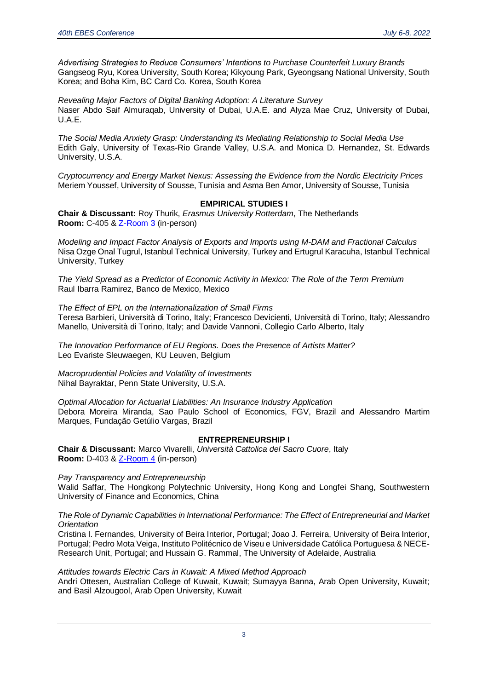*Advertising Strategies to Reduce Consumers' Intentions to Purchase Counterfeit Luxury Brands* Gangseog Ryu, Korea University, South Korea; Kikyoung Park, Gyeongsang National University, South Korea; and Boha Kim, BC Card Co. Korea, South Korea

*Revealing Major Factors of Digital Banking Adoption: A Literature Survey* Naser Abdo Saif Almuraqab, University of Dubai, U.A.E. and Alyza Mae Cruz, University of Dubai, U.A.E.

*The Social Media Anxiety Grasp: Understanding its Mediating Relationship to Social Media Use* Edith Galy, University of Texas-Rio Grande Valley, U.S.A. and Monica D. Hernandez, St. Edwards University, U.S.A.

*Cryptocurrency and Energy Market Nexus: Assessing the Evidence from the Nordic Electricity Prices* Meriem Youssef, University of Sousse, Tunisia and Asma Ben Amor, University of Sousse, Tunisia

#### **EMPIRICAL STUDIES I**

**Chair & Discussant:** Roy Thurik, *Erasmus University Rotterdam*, The Netherlands **Room:** C-405 & [Z-Room 3](https://us02web.zoom.us/j/86479773954) (in-person)

*Modeling and Impact Factor Analysis of Exports and Imports using M-DAM and Fractional Calculus* Nisa Ozge Onal Tugrul, Istanbul Technical University, Turkey and Ertugrul Karacuha, Istanbul Technical University, Turkey

*The Yield Spread as a Predictor of Economic Activity in Mexico: The Role of the Term Premium* Raul Ibarra Ramirez, Banco de Mexico, Mexico

*The Effect of EPL on the Internationalization of Small Firms* Teresa Barbieri, Università di Torino, Italy; Francesco Devicienti, Università di Torino, Italy; Alessandro Manello, Università di Torino, Italy; and Davide Vannoni, Collegio Carlo Alberto, Italy

*The Innovation Performance of EU Regions. Does the Presence of Artists Matter?* Leo Evariste Sleuwaegen, KU Leuven, Belgium

*Macroprudential Policies and Volatility of Investments* Nihal Bayraktar, Penn State University, U.S.A.

*Optimal Allocation for Actuarial Liabilities: An Insurance Industry Application* Debora Moreira Miranda, Sao Paulo School of Economics, FGV, Brazil and Alessandro Martim Marques, Fundação Getúlio Vargas, Brazil

#### **ENTREPRENEURSHIP I**

**Chair & Discussant:** Marco Vivarelli, *Università Cattolica del Sacro Cuore*, Italy **Room:** D-403 & [Z-Room 4](https://us02web.zoom.us/j/84784262532) (in-person)

*Pay Transparency and Entrepreneurship*

Walid Saffar, The Hongkong Polytechnic University, Hong Kong and Longfei Shang, Southwestern University of Finance and Economics, China

*The Role of Dynamic Capabilities in International Performance: The Effect of Entrepreneurial and Market Orientation*

Cristina I. Fernandes, University of Beira Interior, Portugal; Joao J. Ferreira, University of Beira Interior, Portugal; Pedro Mota Veiga, Instituto Politécnico de Viseu e Universidade Católica Portuguesa & NECE-Research Unit, Portugal; and Hussain G. Rammal, The University of Adelaide, Australia

*Attitudes towards Electric Cars in Kuwait: A Mixed Method Approach*

Andri Ottesen, Australian College of Kuwait, Kuwait; Sumayya Banna, Arab Open University, Kuwait; and Basil Alzougool, Arab Open University, Kuwait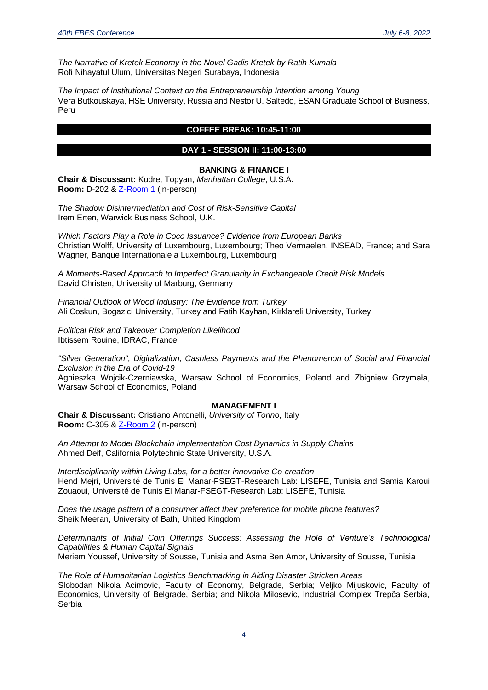*The Narrative of Kretek Economy in the Novel Gadis Kretek by Ratih Kumala* Rofi Nihayatul Ulum, Universitas Negeri Surabaya, Indonesia

*The Impact of Institutional Context on the Entrepreneurship Intention among Young* Vera Butkouskaya, HSE University, Russia and Nestor U. Saltedo, ESAN Graduate School of Business, Peru

#### **COFFEE BREAK: 10:45-11:00**

#### **DAY 1 - SESSION II: 11:00-13:00**

#### **BANKING & FINANCE I**

**Chair & Discussant:** Kudret Topyan, *Manhattan College*, U.S.A. **Room:** D-202 &  $Z-Room 1$  (in-person)

*The Shadow Disintermediation and Cost of Risk-Sensitive Capital* Irem Erten, Warwick Business School, U.K.

*Which Factors Play a Role in Coco Issuance? Evidence from European Banks* Christian Wolff, University of Luxembourg, Luxembourg; Theo Vermaelen, INSEAD, France; and Sara Wagner, Banque Internationale a Luxembourg, Luxembourg

*A Moments-Based Approach to Imperfect Granularity in Exchangeable Credit Risk Models* David Christen, University of Marburg, Germany

*Financial Outlook of Wood Industry: The Evidence from Turkey* Ali Coskun, Bogazici University, Turkey and Fatih Kayhan, Kirklareli University, Turkey

*Political Risk and Takeover Completion Likelihood* Ibtissem Rouine, IDRAC, France

*"Silver Generation", Digitalization, Cashless Payments and the Phenomenon of Social and Financial Exclusion in the Era of Covid-19*

Agnieszka Wojcik-Czerniawska, Warsaw School of Economics, Poland and Zbigniew Grzymała, Warsaw School of Economics, Poland

#### **MANAGEMENT I**

**Chair & Discussant:** Cristiano Antonelli, *University of Torino*, Italy **Room:** C-305 &  $\overline{Z}$ -Room 2 (in-person)

*An Attempt to Model Blockchain Implementation Cost Dynamics in Supply Chains* Ahmed Deif, California Polytechnic State University, U.S.A.

*Interdisciplinarity within Living Labs, for a better innovative Co-creation* Hend Mejri, Université de Tunis El Manar-FSEGT-Research Lab: LISEFE, Tunisia and Samia Karoui Zouaoui, Université de Tunis El Manar-FSEGT-Research Lab: LISEFE, Tunisia

*Does the usage pattern of a consumer affect their preference for mobile phone features?* Sheik Meeran, University of Bath, United Kingdom

*Determinants of Initial Coin Offerings Success: Assessing the Role of Venture's Technological Capabilities & Human Capital Signals* Meriem Youssef, University of Sousse, Tunisia and Asma Ben Amor, University of Sousse, Tunisia

*The Role of Humanitarian Logistics Benchmarking in Aiding Disaster Stricken Areas* Slobodan Nikola Acimovic, Faculty of Economy, Belgrade, Serbia; Veljko Mijuskovic, Faculty of Economics, University of Belgrade, Serbia; and Nikola Milosevic, Industrial Complex Trepča Serbia, Serbia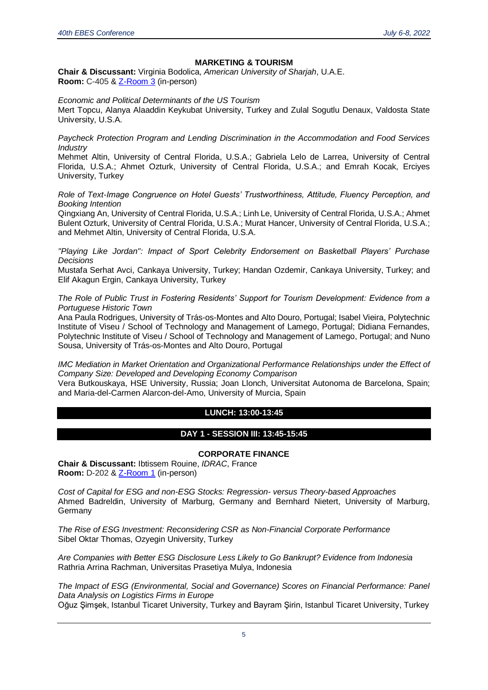#### **MARKETING & TOURISM**

**Chair & Discussant:** Virginia Bodolica, *American University of Sharjah*, U.A.E. **Room:** C-405 & [Z-Room 3](https://us02web.zoom.us/j/86479773954) (in-person)

*Economic and Political Determinants of the US Tourism*

Mert Topcu, Alanya Alaaddin Keykubat University, Turkey and Zulal Sogutlu Denaux, Valdosta State University, U.S.A.

*Paycheck Protection Program and Lending Discrimination in the Accommodation and Food Services Industry*

Mehmet Altin, University of Central Florida, U.S.A.; Gabriela Lelo de Larrea, University of Central Florida, U.S.A.; Ahmet Ozturk, University of Central Florida, U.S.A.; and Emrah Kocak, Erciyes University, Turkey

*Role of Text-Image Congruence on Hotel Guests' Trustworthiness, Attitude, Fluency Perception, and Booking Intention*

Qingxiang An, University of Central Florida, U.S.A.; Linh Le, University of Central Florida, U.S.A.; Ahmet Bulent Ozturk, University of Central Florida, U.S.A.; Murat Hancer, University of Central Florida, U.S.A.; and Mehmet Altin, University of Central Florida, U.S.A.

*"Playing Like Jordan": Impact of Sport Celebrity Endorsement on Basketball Players' Purchase Decisions*

Mustafa Serhat Avci, Cankaya University, Turkey; Handan Ozdemir, Cankaya University, Turkey; and Elif Akagun Ergin, Cankaya University, Turkey

*The Role of Public Trust in Fostering Residents' Support for Tourism Development: Evidence from a Portuguese Historic Town*

Ana Paula Rodrigues, University of Trás-os-Montes and Alto Douro, Portugal; Isabel Vieira, Polytechnic Institute of Viseu / School of Technology and Management of Lamego, Portugal; Didiana Fernandes, Polytechnic Institute of Viseu / School of Technology and Management of Lamego, Portugal; and Nuno Sousa, University of Trás-os-Montes and Alto Douro, Portugal

*IMC Mediation in Market Orientation and Organizational Performance Relationships under the Effect of Company Size: Developed and Developing Economy Comparison*

Vera Butkouskaya, HSE University, Russia; Joan Llonch, Universitat Autonoma de Barcelona, Spain; and Maria-del-Carmen Alarcon-del-Amo, University of Murcia, Spain

#### **LUNCH: 13:00-13:45**

#### **DAY 1 - SESSION III: 13:45-15:45**

#### **CORPORATE FINANCE**

**Chair & Discussant:** Ibtissem Rouine, *IDRAC*, France **Room:** D-202 & [Z-Room 1](https://us02web.zoom.us/j/83763513804) (in-person)

*Cost of Capital for ESG and non-ESG Stocks: Regression- versus Theory-based Approaches* Ahmed Badreldin, University of Marburg, Germany and Bernhard Nietert, University of Marburg, Germany

*The Rise of ESG Investment: Reconsidering CSR as Non-Financial Corporate Performance* Sibel Oktar Thomas, Ozyegin University, Turkey

*Are Companies with Better ESG Disclosure Less Likely to Go Bankrupt? Evidence from Indonesia* Rathria Arrina Rachman, Universitas Prasetiya Mulya, Indonesia

*The Impact of ESG (Environmental, Social and Governance) Scores on Financial Performance: Panel Data Analysis on Logistics Firms in Europe* Oğuz Şimşek, Istanbul Ticaret University, Turkey and Bayram Şirin, Istanbul Ticaret University, Turkey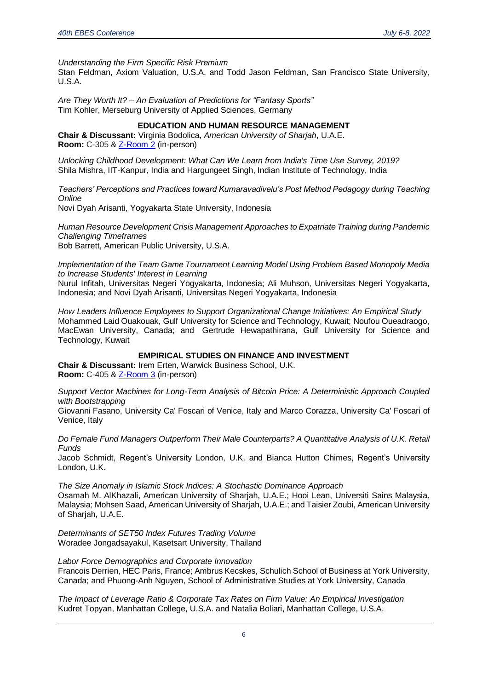*Understanding the Firm Specific Risk Premium*

Stan Feldman, Axiom Valuation, U.S.A. and Todd Jason Feldman, San Francisco State University, U.S.A.

*Are They Worth It? – An Evaluation of Predictions for "Fantasy Sports"* Tim Kohler, Merseburg University of Applied Sciences, Germany

#### **EDUCATION AND HUMAN RESOURCE MANAGEMENT**

**Chair & Discussant:** Virginia Bodolica, *American University of Sharjah*, U.A.E. **Room:** C-305 & [Z-Room 2](https://us02web.zoom.us/j/83242200549) (in-person)

*Unlocking Childhood Development: What Can We Learn from India's Time Use Survey, 2019?* Shila Mishra, IIT-Kanpur, India and Hargungeet Singh, Indian Institute of Technology, India

*Teachers' Perceptions and Practices toward Kumaravadivelu's Post Method Pedagogy during Teaching Online*

Novi Dyah Arisanti, Yogyakarta State University, Indonesia

*Human Resource Development Crisis Management Approaches to Expatriate Training during Pandemic Challenging Timeframes*

Bob Barrett, American Public University, U.S.A.

*Implementation of the Team Game Tournament Learning Model Using Problem Based Monopoly Media to Increase Students' Interest in Learning*

Nurul Infitah, Universitas Negeri Yogyakarta, Indonesia; Ali Muhson, Universitas Negeri Yogyakarta, Indonesia; and Novi Dyah Arisanti, Universitas Negeri Yogyakarta, Indonesia

*How Leaders Influence Employees to Support Organizational Change Initiatives: An Empirical Study* Mohammed Laid Ouakouak, Gulf University for Science and Technology, Kuwait; Noufou Oueadraogo, MacEwan University, Canada; and Gertrude Hewapathirana, Gulf University for Science and Technology, Kuwait

#### **EMPIRICAL STUDIES ON FINANCE AND INVESTMENT**

**Chair & Discussant:** Irem Erten, Warwick Business School, U.K. **Room:** C-405 & [Z-Room 3](https://us02web.zoom.us/j/86479773954) (in-person)

*Support Vector Machines for Long-Term Analysis of Bitcoin Price: A Deterministic Approach Coupled with Bootstrapping*

Giovanni Fasano, University Ca' Foscari of Venice, Italy and Marco Corazza, University Ca' Foscari of Venice, Italy

*Do Female Fund Managers Outperform Their Male Counterparts? A Quantitative Analysis of U.K. Retail Funds*

Jacob Schmidt, Regent's University London, U.K. and Bianca Hutton Chimes, Regent's University London, U.K.

*The Size Anomaly in Islamic Stock Indices: A Stochastic Dominance Approach* Osamah M. AlKhazali, American University of Sharjah, U.A.E.; Hooi Lean, Universiti Sains Malaysia, Malaysia; Mohsen Saad, American University of Sharjah, U.A.E.; and Taisier Zoubi, American University of Sharjah, U.A.E.

*Determinants of SET50 Index Futures Trading Volume* Woradee Jongadsayakul, Kasetsart University, Thailand

*Labor Force Demographics and Corporate Innovation*

Francois Derrien, HEC Paris, France; Ambrus Kecskes, Schulich School of Business at York University, Canada; and Phuong-Anh Nguyen, School of Administrative Studies at York University, Canada

*The Impact of Leverage Ratio & Corporate Tax Rates on Firm Value: An Empirical Investigation* Kudret Topyan, Manhattan College, U.S.A. and Natalia Boliari, Manhattan College, U.S.A.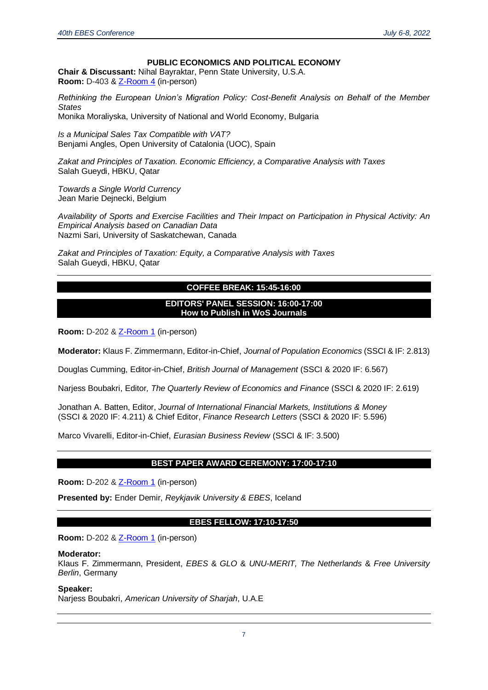#### **PUBLIC ECONOMICS AND POLITICAL ECONOMY**

**Chair & Discussant:** Nihal Bayraktar, Penn State University, U.S.A. **Room:** D-403 & [Z-Room 4](https://us02web.zoom.us/j/84784262532) (in-person)

*Rethinking the European Union's Migration Policy: Cost-Benefit Analysis on Behalf of the Member States*

Monika Moraliyska, University of National and World Economy, Bulgaria

*Is a Municipal Sales Tax Compatible with VAT?* Benjami Angles, Open University of Catalonia (UOC), Spain

*Zakat and Principles of Taxation. Economic Efficiency, a Comparative Analysis with Taxes* Salah Gueydi, HBKU, Qatar

*Towards a Single World Currency* Jean Marie Dejnecki, Belgium

*Availability of Sports and Exercise Facilities and Their Impact on Participation in Physical Activity: An Empirical Analysis based on Canadian Data* Nazmi Sari, University of Saskatchewan, Canada

*Zakat and Principles of Taxation: Equity, a Comparative Analysis with Taxes*  Salah Gueydi, HBKU, Qatar

#### **COFFEE BREAK: 15:45-16:00**

#### **EDITORS' PANEL SESSION: 16:00-17:00 How to Publish in WoS Journals**

**Room:** D-202 &  $Z-Room 1$  (in-person)

**Moderator:** Klaus F. Zimmermann, Editor-in-Chief, *Journal of Population Economics* (SSCI & IF: 2.813)

Douglas Cumming, Editor-in-Chief, *British Journal of Management* (SSCI & 2020 IF: 6.567)

Narjess Boubakri, Editor*, The Quarterly Review of Economics and Finance* (SSCI & 2020 IF: 2.619)

Jonathan A. Batten, Editor, *Journal of International Financial Markets, Institutions & Money* (SSCI & 2020 IF: 4.211) & Chief Editor, *Finance Research Letters* (SSCI & 2020 IF: 5.596)

Marco Vivarelli, Editor-in-Chief, *Eurasian Business Review* (SSCI & IF: 3.500)

#### **BEST PAPER AWARD CEREMONY: 17:00-17:10**

**Room:** D-202 & **Z-Room 1** (in-person)

**Presented by:** Ender Demir, *Reykjavik University & EBES*, Iceland

#### **EBES FELLOW: 17:10-17:50**

**Room:** D-202 & [Z-Room 1](https://us02web.zoom.us/j/83763513804) (in-person)

#### **Moderator:**

Klaus F. Zimmermann, President, *EBES* & *GLO* & *UNU-MERIT, The Netherlands* & *Free University Berlin*, Germany

#### **Speaker:**

Narjess Boubakri, *American University of Sharjah*, U.A.E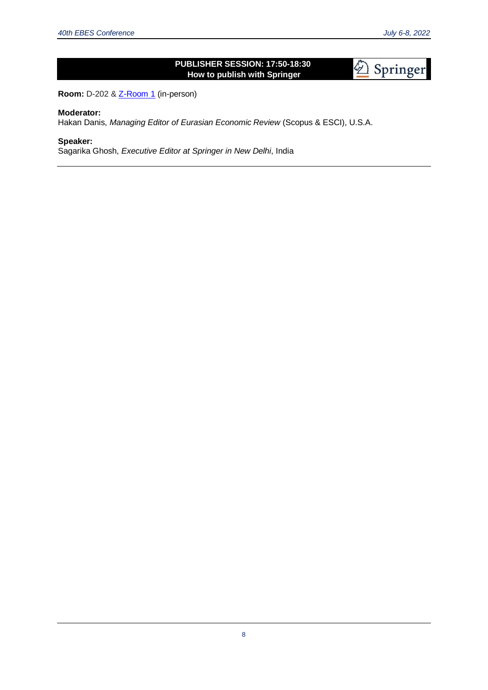### **PUBLISHER SESSION: 17:50-18:30 How to publish with Springer**

Springer

**Room:** D-202 & **Z-Room 1** (in-person)

#### **Moderator:**

Hakan Danis, *Managing Editor of Eurasian Economic Review* (Scopus & ESCI), U.S.A.

#### **Speaker:**

Sagarika Ghosh, *Executive Editor at Springer in New Delhi*, India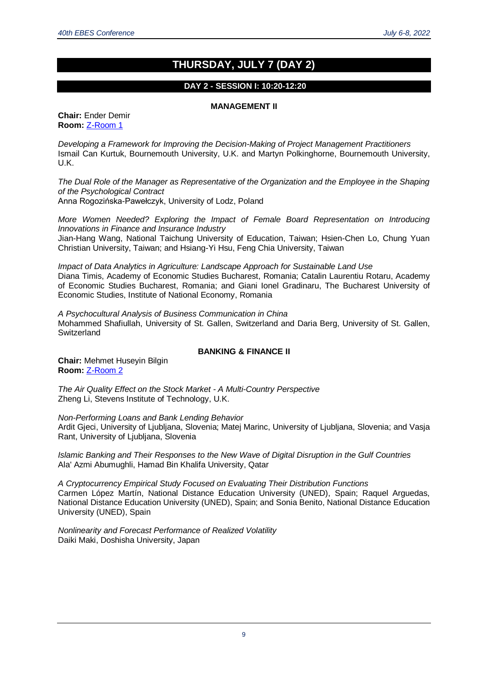### **THURSDAY, JULY 7 (DAY 2)**

#### **DAY 2 - SESSION I: 10:20-12:20**

#### **MANAGEMENT II**

**Chair:** Ender Demir **Room:** [Z-Room 1](https://us02web.zoom.us/j/83763513804)

*Developing a Framework for Improving the Decision-Making of Project Management Practitioners* Ismail Can Kurtuk, Bournemouth University, U.K. and Martyn Polkinghorne, Bournemouth University, U.K.

*The Dual Role of the Manager as Representative of the Organization and the Employee in the Shaping of the Psychological Contract* Anna Rogozińska-Pawełczyk, University of Lodz, Poland

*More Women Needed? Exploring the Impact of Female Board Representation on Introducing Innovations in Finance and Insurance Industry* Jian-Hang Wang, National Taichung University of Education, Taiwan; Hsien-Chen Lo, Chung Yuan Christian University, Taiwan; and Hsiang-Yi Hsu, Feng Chia University, Taiwan

*Impact of Data Analytics in Agriculture: Landscape Approach for Sustainable Land Use* Diana Timis, Academy of Economic Studies Bucharest, Romania; Catalin Laurentiu Rotaru, Academy of Economic Studies Bucharest, Romania; and Giani Ionel Gradinaru, The Bucharest University of Economic Studies, Institute of National Economy, Romania

*A Psychocultural Analysis of Business Communication in China* Mohammed Shafiullah, University of St. Gallen, Switzerland and Daria Berg, University of St. Gallen, **Switzerland** 

#### **BANKING & FINANCE II**

**Chair:** Mehmet Huseyin Bilgin **Room:** [Z-Room 2](https://us02web.zoom.us/j/83242200549)

*The Air Quality Effect on the Stock Market - A Multi-Country Perspective* Zheng Li, Stevens Institute of Technology, U.K.

*Non-Performing Loans and Bank Lending Behavior*

Ardit Gjeci, University of Ljubljana, Slovenia; Matej Marinc, University of Ljubljana, Slovenia; and Vasja Rant, University of Ljubljana, Slovenia

*Islamic Banking and Their Responses to the New Wave of Digital Disruption in the Gulf Countries* Ala' Azmi Abumughli, Hamad Bin Khalifa University, Qatar

*A Cryptocurrency Empirical Study Focused on Evaluating Their Distribution Functions* Carmen López Martín, National Distance Education University (UNED), Spain; Raquel Arguedas, National Distance Education University (UNED), Spain; and Sonia Benito, National Distance Education University (UNED), Spain

*Nonlinearity and Forecast Performance of Realized Volatility* Daiki Maki, Doshisha University, Japan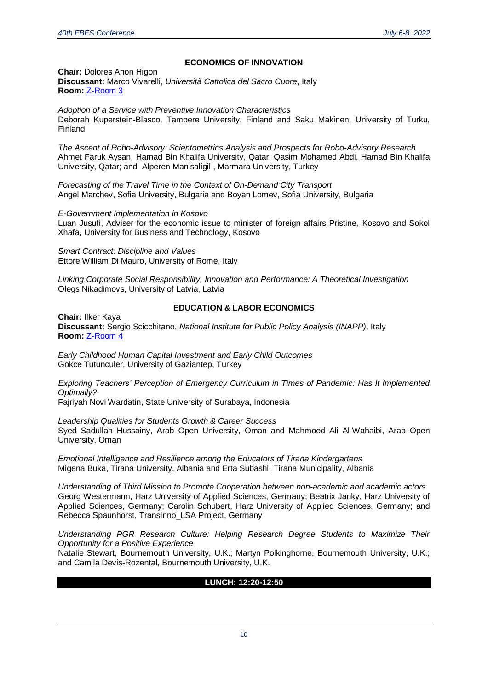#### **ECONOMICS OF INNOVATION**

**Chair:** Dolores Anon Higon **Discussant:** Marco Vivarelli, *Università Cattolica del Sacro Cuore*, Italy **Room:** [Z-Room 3](https://us02web.zoom.us/j/86479773954)

*Adoption of a Service with Preventive Innovation Characteristics* Deborah Kuperstein-Blasco, Tampere University, Finland and Saku Makinen, University of Turku, Finland

*The Ascent of Robo-Advisory: Scientometrics Analysis and Prospects for Robo-Advisory Research* Ahmet Faruk Aysan, Hamad Bin Khalifa University, Qatar; Qasim Mohamed Abdi, Hamad Bin Khalifa University, Qatar; and Alperen Manisaligil , Marmara University, Turkey

*Forecasting of the Travel Time in the Context of On-Demand City Transport* Angel Marchev, Sofia University, Bulgaria and Boyan Lomev, Sofia University, Bulgaria

*E-Government Implementation in Kosovo*

Luan Jusufi, Adviser for the economic issue to minister of foreign affairs Pristine, Kosovo and Sokol Xhafa, University for Business and Technology, Kosovo

*Smart Contract: Discipline and Values* Ettore William Di Mauro, University of Rome, Italy

*Linking Corporate Social Responsibility, Innovation and Performance: A Theoretical Investigation* Olegs Nikadimovs, University of Latvia, Latvia

#### **EDUCATION & LABOR ECONOMICS**

**Chair:** Ilker Kaya **Discussant:** Sergio Scicchitano, *National Institute for Public Policy Analysis (INAPP)*, Italy **Room:** [Z-Room 4](https://us02web.zoom.us/j/84784262532)

*Early Childhood Human Capital Investment and Early Child Outcomes* Gokce Tutunculer, University of Gaziantep, Turkey

*Exploring Teachers' Perception of Emergency Curriculum in Times of Pandemic: Has It Implemented Optimally?*

Fajriyah Novi Wardatin, State University of Surabaya, Indonesia

*Leadership Qualities for Students Growth & Career Success* Syed Sadullah Hussainy, Arab Open University, Oman and Mahmood Ali Al-Wahaibi, Arab Open University, Oman

*Emotional Intelligence and Resilience among the Educators of Tirana Kindergartens* Migena Buka, Tirana University, Albania and Erta Subashi, Tirana Municipality, Albania

*Understanding of Third Mission to Promote Cooperation between non-academic and academic actors* Georg Westermann, Harz University of Applied Sciences, Germany; Beatrix Janky, Harz University of Applied Sciences, Germany; Carolin Schubert, Harz University of Applied Sciences, Germany; and Rebecca Spaunhorst, TransInno\_LSA Project, Germany

*Understanding PGR Research Culture: Helping Research Degree Students to Maximize Their Opportunity for a Positive Experience*

Natalie Stewart, Bournemouth University, U.K.; Martyn Polkinghorne, Bournemouth University, U.K.; and Camila Devis-Rozental, Bournemouth University, U.K.

#### **LUNCH: 12:20-12:50**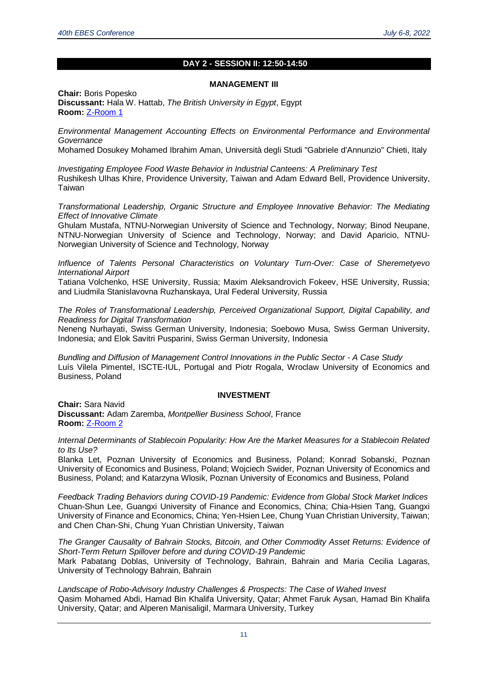#### **DAY 2 - SESSION II: 12:50-14:50**

#### **MANAGEMENT III**

**Chair:** Boris Popesko **Discussant:** Hala W. Hattab, *The British University in Egypt*, Egypt **Room:** [Z-Room 1](https://us02web.zoom.us/j/83763513804)

*Environmental Management Accounting Effects on Environmental Performance and Environmental Governance*

Mohamed Dosukey Mohamed Ibrahim Aman, Università degli Studi "Gabriele d'Annunzio" Chieti, Italy

*Investigating Employee Food Waste Behavior in Industrial Canteens: A Preliminary Test* Rushikesh Ulhas Khire, Providence University, Taiwan and Adam Edward Bell, Providence University, Taiwan

*Transformational Leadership, Organic Structure and Employee Innovative Behavior: The Mediating Effect of Innovative Climate*

Ghulam Mustafa, NTNU-Norwegian University of Science and Technology, Norway; Binod Neupane, NTNU-Norwegian University of Science and Technology, Norway; and David Aparicio, NTNU-Norwegian University of Science and Technology, Norway

*Influence of Talents Personal Characteristics on Voluntary Turn-Over: Case of Sheremetyevo International Airport*

Tatiana Volchenko, HSE University, Russia; Maxim Aleksandrovich Fokeev, HSE University, Russia; and Liudmila Stanislavovna Ruzhanskaya, Ural Federal University, Russia

*The Roles of Transformational Leadership, Perceived Organizational Support, Digital Capability, and Readiness for Digital Transformation*

Neneng Nurhayati, Swiss German University, Indonesia; Soebowo Musa, Swiss German University, Indonesia; and Elok Savitri Pusparini, Swiss German University, Indonesia

*Bundling and Diffusion of Management Control Innovations in the Public Sector - A Case Study* Luís Vilela Pimentel, ISCTE-IUL, Portugal and Piotr Rogala, Wroclaw University of Economics and Business, Poland

#### **INVESTMENT**

**Chair:** Sara Navid **Discussant:** Adam Zaremba, *Montpellier Business School*, France **Room: [Z-Room 2](https://us02web.zoom.us/j/83242200549)** 

*Internal Determinants of Stablecoin Popularity: How Are the Market Measures for a Stablecoin Related to Its Use?*

Blanka Let, Poznan University of Economics and Business, Poland; Konrad Sobanski, Poznan University of Economics and Business, Poland; Wojciech Swider, Poznan University of Economics and Business, Poland; and Katarzyna Wlosik, Poznan University of Economics and Business, Poland

*Feedback Trading Behaviors during COVID-19 Pandemic: Evidence from Global Stock Market Indices* Chuan-Shun Lee, Guangxi University of Finance and Economics, China; Chia-Hsien Tang, Guangxi University of Finance and Economics, China; Yen-Hsien Lee, Chung Yuan Christian University, Taiwan; and Chen Chan-Shi, Chung Yuan Christian University, Taiwan

*The Granger Causality of Bahrain Stocks, Bitcoin, and Other Commodity Asset Returns: Evidence of Short-Term Return Spillover before and during COVID-19 Pandemic*

Mark Pabatang Doblas, University of Technology, Bahrain, Bahrain and Maria Cecilia Lagaras, University of Technology Bahrain, Bahrain

*Landscape of Robo-Advisory Industry Challenges & Prospects: The Case of Wahed Invest* Qasim Mohamed Abdi, Hamad Bin Khalifa University, Qatar; Ahmet Faruk Aysan, Hamad Bin Khalifa University, Qatar; and Alperen Manisaligil, Marmara University, Turkey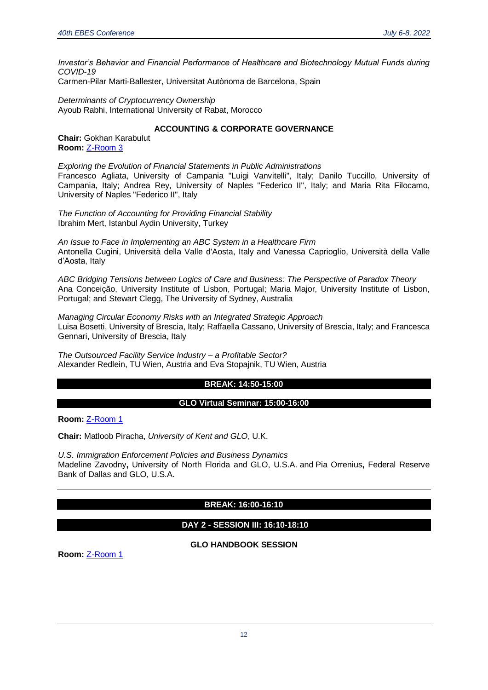*Investor's Behavior and Financial Performance of Healthcare and Biotechnology Mutual Funds during COVID-19*

Carmen-Pilar Marti-Ballester, Universitat Autònoma de Barcelona, Spain

*Determinants of Cryptocurrency Ownership* Ayoub Rabhi, International University of Rabat, Morocco

#### **ACCOUNTING & CORPORATE GOVERNANCE**

**Chair:** Gokhan Karabulut **Room:** [Z-Room 3](https://us02web.zoom.us/j/86479773954)

*Exploring the Evolution of Financial Statements in Public Administrations* Francesco Agliata, University of Campania "Luigi Vanvitelli", Italy; Danilo Tuccillo, University of Campania, Italy; Andrea Rey, University of Naples "Federico II", Italy; and Maria Rita Filocamo, University of Naples "Federico II", Italy

*The Function of Accounting for Providing Financial Stability* Ibrahim Mert, Istanbul Aydin University, Turkey

*An Issue to Face in Implementing an ABC System in a Healthcare Firm* Antonella Cugini, Università della Valle d'Aosta, Italy and Vanessa Caprioglio, Università della Valle d'Aosta, Italy

*ABC Bridging Tensions between Logics of Care and Business: The Perspective of Paradox Theory* Ana Conceição, University Institute of Lisbon, Portugal; Maria Major, University Institute of Lisbon, Portugal; and Stewart Clegg, The University of Sydney, Australia

*Managing Circular Economy Risks with an Integrated Strategic Approach* Luisa Bosetti, University of Brescia, Italy; Raffaella Cassano, University of Brescia, Italy; and Francesca Gennari, University of Brescia, Italy

*The Outsourced Facility Service Industry – a Profitable Sector?* Alexander Redlein, TU Wien, Austria and Eva Stopajnik, TU Wien, Austria

#### **BREAK: 14:50-15:00**

#### **GLO Virtual Seminar: 15:00-16:00**

**Room:** [Z-Room 1](https://us02web.zoom.us/j/83763513804)

**Chair:** Matloob Piracha, *University of Kent and GLO*, U.K.

*U.S. Immigration Enforcement Policies and Business Dynamics* [Madeline Zavodny](https://glabor.org/user/madelinezavodny/)**,** University of North Florida and GLO, U.S.A. and [Pia Orrenius](https://glabor.org/user/piaorrenius/)**,** Federal Reserve Bank of Dallas and GLO, U.S.A.

#### **BREAK: 16:00-16:10**

#### **DAY 2 - SESSION III: 16:10-18:10**

**GLO HANDBOOK SESSION**

**Room:** [Z-Room 1](https://us02web.zoom.us/j/83763513804)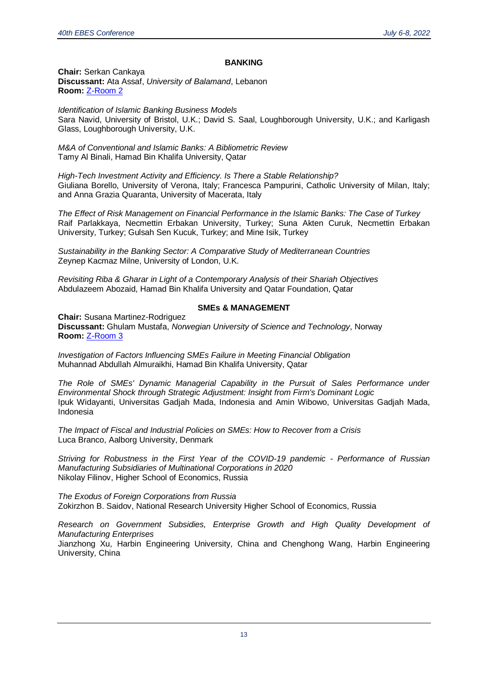#### **BANKING**

**Chair:** Serkan Cankaya **Discussant:** Ata Assaf, *University of Balamand*, Lebanon **Room:** [Z-Room 2](https://us02web.zoom.us/j/83242200549)

*Identification of Islamic Banking Business Models* Sara Navid, University of Bristol, U.K.; David S. Saal, Loughborough University, U.K.; and Karligash Glass, Loughborough University, U.K.

*M&A of Conventional and Islamic Banks: A Bibliometric Review* Tamy Al Binali, Hamad Bin Khalifa University, Qatar

*High-Tech Investment Activity and Efficiency. Is There a Stable Relationship?* Giuliana Borello, University of Verona, Italy; Francesca Pampurini, Catholic University of Milan, Italy; and Anna Grazia Quaranta, University of Macerata, Italy

*The Effect of Risk Management on Financial Performance in the Islamic Banks: The Case of Turkey* Raif Parlakkaya, Necmettin Erbakan University, Turkey; Suna Akten Curuk, Necmettin Erbakan University, Turkey; Gulsah Sen Kucuk, Turkey; and Mine Isik, Turkey

*Sustainability in the Banking Sector: A Comparative Study of Mediterranean Countries* Zeynep Kacmaz Milne, University of London, U.K.

*Revisiting Riba & Gharar in Light of a Contemporary Analysis of their Shariah Objectives* Abdulazeem Abozaid, Hamad Bin Khalifa University and Qatar Foundation, Qatar

#### **SMEs & MANAGEMENT**

**Chair:** Susana Martinez-Rodriguez **Discussant:** Ghulam Mustafa, *Norwegian University of Science and Technology*, Norway **Room:** [Z-Room 3](https://us02web.zoom.us/j/86479773954)

*Investigation of Factors Influencing SMEs Failure in Meeting Financial Obligation* Muhannad Abdullah Almuraikhi, Hamad Bin Khalifa University, Qatar

*The Role of SMEs' Dynamic Managerial Capability in the Pursuit of Sales Performance under Environmental Shock through Strategic Adjustment: Insight from Firm's Dominant Logic* Ipuk Widayanti, Universitas Gadjah Mada, Indonesia and Amin Wibowo, Universitas Gadjah Mada, Indonesia

*The Impact of Fiscal and Industrial Policies on SMEs: How to Recover from a Crisis* Luca Branco, Aalborg University, Denmark

*Striving for Robustness in the First Year of the COVID-19 pandemic - Performance of Russian Manufacturing Subsidiaries of Multinational Corporations in 2020* Nikolay Filinov, Higher School of Economics, Russia

*The Exodus of Foreign Corporations from Russia* Zokirzhon B. Saidov, National Research University Higher School of Economics, Russia

*Research on Government Subsidies, Enterprise Growth and High Quality Development of Manufacturing Enterprises*

Jianzhong Xu, Harbin Engineering University, China and Chenghong Wang, Harbin Engineering University, China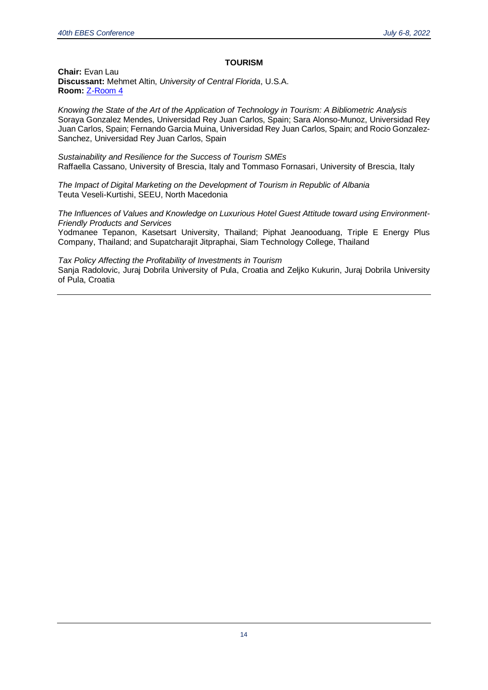#### **TOURISM**

**Chair:** Evan Lau **Discussant:** Mehmet Altin, *University of Central Florida*, U.S.A. **Room:** [Z-Room 4](https://us02web.zoom.us/j/84784262532)

*Knowing the State of the Art of the Application of Technology in Tourism: A Bibliometric Analysis* Soraya Gonzalez Mendes, Universidad Rey Juan Carlos, Spain; Sara Alonso-Munoz, Universidad Rey Juan Carlos, Spain; Fernando Garcia Muina, Universidad Rey Juan Carlos, Spain; and Rocio Gonzalez-Sanchez, Universidad Rey Juan Carlos, Spain

*Sustainability and Resilience for the Success of Tourism SMEs* Raffaella Cassano, University of Brescia, Italy and Tommaso Fornasari, University of Brescia, Italy

*The Impact of Digital Marketing on the Development of Tourism in Republic of Albania* Teuta Veseli-Kurtishi, SEEU, North Macedonia

*The Influences of Values and Knowledge on Luxurious Hotel Guest Attitude toward using Environment-Friendly Products and Services*

Yodmanee Tepanon, Kasetsart University, Thailand; Piphat Jeanooduang, Triple E Energy Plus Company, Thailand; and Supatcharajit Jitpraphai, Siam Technology College, Thailand

*Tax Policy Affecting the Profitability of Investments in Tourism* Sanja Radolovic, Juraj Dobrila University of Pula, Croatia and Zeljko Kukurin, Juraj Dobrila University of Pula, Croatia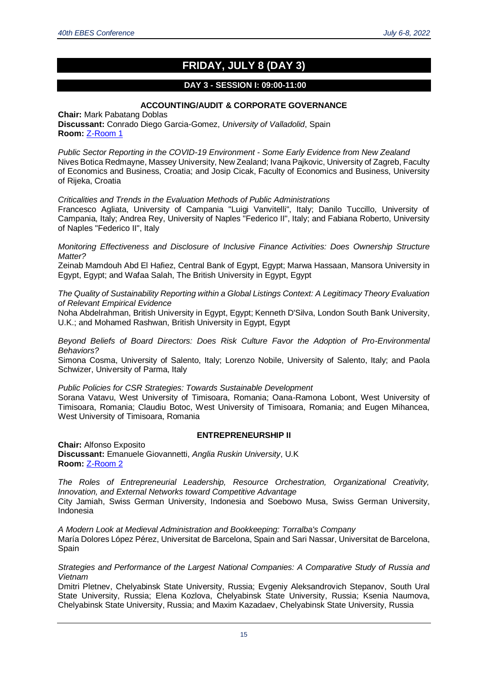## **FRIDAY, JULY 8 (DAY 3)**

#### **DAY 3 - SESSION I: 09:00-11:00**

#### **ACCOUNTING/AUDIT & CORPORATE GOVERNANCE**

**Chair:** Mark Pabatang Doblas **Discussant:** Conrado Diego Garcia-Gomez, *University of Valladolid*, Spain **Room:** [Z-Room 1](https://us02web.zoom.us/j/83763513804)

*Public Sector Reporting in the COVID-19 Environment - Some Early Evidence from New Zealand* Nives Botica Redmayne, Massey University, New Zealand; Ivana Pajkovic, University of Zagreb, Faculty of Economics and Business, Croatia; and Josip Cicak, Faculty of Economics and Business, University of Rijeka, Croatia

*Criticalities and Trends in the Evaluation Methods of Public Administrations*

Francesco Agliata, University of Campania "Luigi Vanvitelli", Italy; Danilo Tuccillo, University of Campania, Italy; Andrea Rey, University of Naples "Federico II", Italy; and Fabiana Roberto, University of Naples "Federico II", Italy

*Monitoring Effectiveness and Disclosure of Inclusive Finance Activities: Does Ownership Structure Matter?*

Zeinab Mamdouh Abd El Hafiez, Central Bank of Egypt, Egypt; Marwa Hassaan, Mansora University in Egypt, Egypt; and Wafaa Salah, The British University in Egypt, Egypt

*The Quality of Sustainability Reporting within a Global Listings Context: A Legitimacy Theory Evaluation of Relevant Empirical Evidence*

Noha Abdelrahman, British University in Egypt, Egypt; Kenneth D'Silva, London South Bank University, U.K.; and Mohamed Rashwan, British University in Egypt, Egypt

*Beyond Beliefs of Board Directors: Does Risk Culture Favor the Adoption of Pro-Environmental Behaviors?*

Simona Cosma, University of Salento, Italy; Lorenzo Nobile, University of Salento, Italy; and Paola Schwizer, University of Parma, Italy

*Public Policies for CSR Strategies: Towards Sustainable Development*

Sorana Vatavu, West University of Timisoara, Romania; Oana-Ramona Lobont, West University of Timisoara, Romania; Claudiu Botoc, West University of Timisoara, Romania; and Eugen Mihancea, West University of Timisoara, Romania

#### **ENTREPRENEURSHIP II**

**Chair:** Alfonso Exposito **Discussant:** Emanuele Giovannetti, *Anglia Ruskin University*, U.K **Room:** [Z-Room 2](https://us02web.zoom.us/j/83242200549)

*The Roles of Entrepreneurial Leadership, Resource Orchestration, Organizational Creativity, Innovation, and External Networks toward Competitive Advantage* City Jamiah, Swiss German University, Indonesia and Soebowo Musa, Swiss German University, Indonesia

*A Modern Look at Medieval Administration and Bookkeeping: Torralba's Company* María Dolores López Pérez, Universitat de Barcelona, Spain and Sari Nassar, Universitat de Barcelona, Spain

*Strategies and Performance of the Largest National Companies: A Comparative Study of Russia and Vietnam*

Dmitri Pletnev, Chelyabinsk State University, Russia; Evgeniy Aleksandrovich Stepanov, South Ural State University, Russia; Elena Kozlova, Chelyabinsk State University, Russia; Ksenia Naumova, Chelyabinsk State University, Russia; and Maxim Kazadaev, Chelyabinsk State University, Russia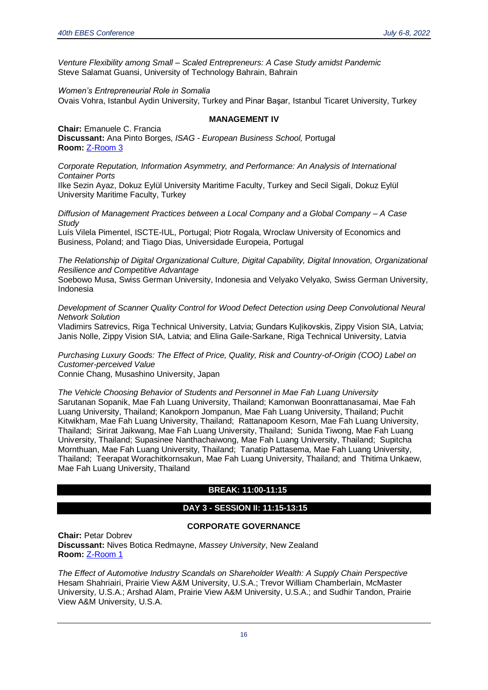*Venture Flexibility among Small – Scaled Entrepreneurs: A Case Study amidst Pandemic* Steve Salamat Guansi, University of Technology Bahrain, Bahrain

*Women's Entrepreneurial Role in Somalia* Ovais Vohra, Istanbul Aydin University, Turkey and Pinar Başar, Istanbul Ticaret University, Turkey

#### **MANAGEMENT IV**

**Chair:** Emanuele C. Francia **Discussant:** Ana Pinto Borges, *ISAG - European Business School,* Portugal **Room:** [Z-Room 3](https://us02web.zoom.us/j/86479773954)

*Corporate Reputation, Information Asymmetry, and Performance: An Analysis of International Container Ports*

Ilke Sezin Ayaz, Dokuz Eylül University Maritime Faculty, Turkey and Secil Sigali, Dokuz Eylül University Maritime Faculty, Turkey

*Diffusion of Management Practices between a Local Company and a Global Company – A Case Study*

Luís Vilela Pimentel, ISCTE-IUL, Portugal; Piotr Rogala, Wroclaw University of Economics and Business, Poland; and Tiago Dias, Universidade Europeia, Portugal

*The Relationship of Digital Organizational Culture, Digital Capability, Digital Innovation, Organizational Resilience and Competitive Advantage*

Soebowo Musa, Swiss German University, Indonesia and Velyako Velyako, Swiss German University, Indonesia

*Development of Scanner Quality Control for Wood Defect Detection using Deep Convolutional Neural Network Solution*

Vladimirs Satrevics, Riga Technical University, Latvia; Gundars Kuļikovskis, Zippy Vision SIA, Latvia; Janis Nolle, Zippy Vision SIA, Latvia; and Elina Gaile-Sarkane, Riga Technical University, Latvia

*Purchasing Luxury Goods: The Effect of Price, Quality, Risk and Country-of-Origin (COO) Label on Customer-perceived Value*

Connie Chang, Musashino University, Japan

*The Vehicle Choosing Behavior of Students and Personnel in Mae Fah Luang University* Sarutanan Sopanik, Mae Fah Luang University, Thailand; Kamonwan Boonrattanasamai, Mae Fah Luang University, Thailand; Kanokporn Jompanun, Mae Fah Luang University, Thailand; Puchit Kitwikham, Mae Fah Luang University, Thailand; Rattanapoom Kesorn, Mae Fah Luang University, Thailand; Sirirat Jaikwang, Mae Fah Luang University, Thailand; Sunida Tiwong, Mae Fah Luang University, Thailand; Supasinee Nanthachaiwong, Mae Fah Luang University, Thailand; Supitcha Mornthuan, Mae Fah Luang University, Thailand; Tanatip Pattasema, Mae Fah Luang University, Thailand; Teerapat Worachitkornsakun, Mae Fah Luang University, Thailand; and Thitima Unkaew, Mae Fah Luang University, Thailand

### **BREAK: 11:00-11:15**

#### **DAY 3 - SESSION II: 11:15-13:15**

#### **CORPORATE GOVERNANCE**

**Chair:** Petar Dobrev **Discussant:** Nives Botica Redmayne, *Massey University*, New Zealand **Room:** [Z-Room 1](https://us02web.zoom.us/j/83763513804)

*The Effect of Automotive Industry Scandals on Shareholder Wealth: A Supply Chain Perspective* Hesam Shahriairi, Prairie View A&M University, U.S.A.; Trevor William Chamberlain, McMaster University, U.S.A.; Arshad Alam, Prairie View A&M University, U.S.A.; and Sudhir Tandon, Prairie View A&M University, U.S.A.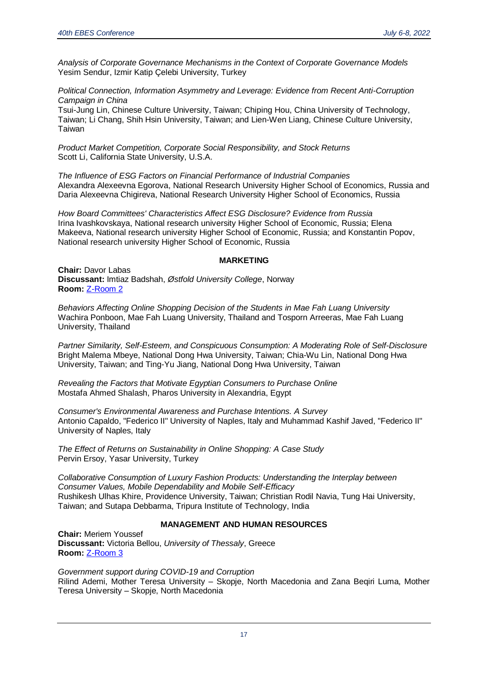*Analysis of Corporate Governance Mechanisms in the Context of Corporate Governance Models* Yesim Sendur, Izmir Katip Çelebi University, Turkey

*Political Connection, Information Asymmetry and Leverage: Evidence from Recent Anti-Corruption Campaign in China*

Tsui-Jung Lin, Chinese Culture University, Taiwan; Chiping Hou, China University of Technology, Taiwan; Li Chang, Shih Hsin University, Taiwan; and Lien-Wen Liang, Chinese Culture University, **Taiwan** 

*Product Market Competition, Corporate Social Responsibility, and Stock Returns* Scott Li, California State University, U.S.A.

*The Influence of ESG Factors on Financial Performance of Industrial Companies* Alexandra Alexeevna Egorova, National Research University Higher School of Economics, Russia and Daria Alexeevna Chigireva, National Research University Higher School of Economics, Russia

*How Board Committees' Characteristics Affect ESG Disclosure? Evidence from Russia* Irina Ivashkovskaya, National research university Higher School of Economic, Russia; Elena Makeeva, National research university Higher School of Economic, Russia; and Konstantin Popov, National research university Higher School of Economic, Russia

#### **MARKETING**

**Chair:** Davor Labas **Discussant:** Imtiaz Badshah, *Østfold University College*, Norway **Room:** [Z-Room 2](https://us02web.zoom.us/j/83242200549)

*Behaviors Affecting Online Shopping Decision of the Students in Mae Fah Luang University* Wachira Ponboon, Mae Fah Luang University, Thailand and Tosporn Arreeras, Mae Fah Luang University, Thailand

*Partner Similarity, Self-Esteem, and Conspicuous Consumption: A Moderating Role of Self-Disclosure* Bright Malema Mbeye, National Dong Hwa University, Taiwan; Chia-Wu Lin, National Dong Hwa University, Taiwan; and Ting-Yu Jiang, National Dong Hwa University, Taiwan

*Revealing the Factors that Motivate Egyptian Consumers to Purchase Online* Mostafa Ahmed Shalash, Pharos University in Alexandria, Egypt

*Consumer's Environmental Awareness and Purchase Intentions. A Survey* Antonio Capaldo, "Federico II" University of Naples, Italy and Muhammad Kashif Javed, "Federico II" University of Naples, Italy

*The Effect of Returns on Sustainability in Online Shopping: A Case Study* Pervin Ersoy, Yasar University, Turkey

*Collaborative Consumption of Luxury Fashion Products: Understanding the Interplay between Consumer Values, Mobile Dependability and Mobile Self-Efficacy* Rushikesh Ulhas Khire, Providence University, Taiwan; Christian Rodil Navia, Tung Hai University, Taiwan; and Sutapa Debbarma, Tripura Institute of Technology, India

#### **MANAGEMENT AND HUMAN RESOURCES**

**Chair:** Meriem Youssef **Discussant:** Victoria Bellou, *University of Thessaly*, Greece **Room:** [Z-Room 3](https://us02web.zoom.us/j/86479773954)

*Government support during COVID-19 and Corruption* Rilind Ademi, Mother Teresa University – Skopje, North Macedonia and Zana Beqiri Luma, Mother Teresa University – Skopje, North Macedonia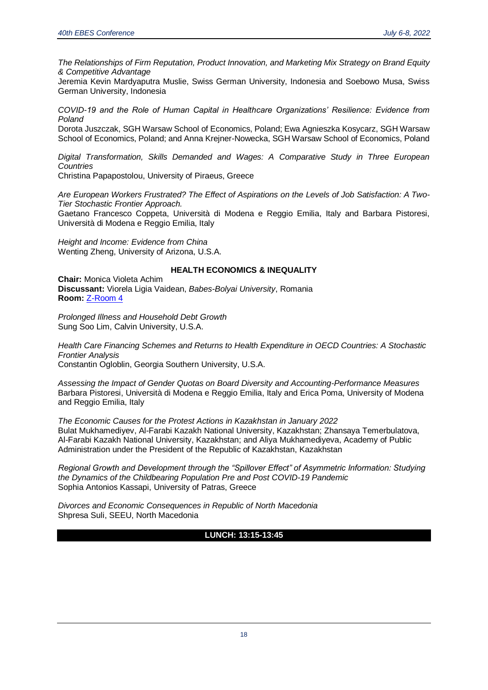*The Relationships of Firm Reputation, Product Innovation, and Marketing Mix Strategy on Brand Equity & Competitive Advantage*

Jeremia Kevin Mardyaputra Muslie, Swiss German University, Indonesia and Soebowo Musa, Swiss German University, Indonesia

*COVID-19 and the Role of Human Capital in Healthcare Organizations' Resilience: Evidence from Poland*

Dorota Juszczak, SGH Warsaw School of Economics, Poland; Ewa Agnieszka Kosycarz, SGH Warsaw School of Economics, Poland; and Anna Krejner-Nowecka, SGH Warsaw School of Economics, Poland

*Digital Transformation, Skills Demanded and Wages: A Comparative Study in Three European Countries*

Christina Papapostolou, University of Piraeus, Greece

*Are European Workers Frustrated? The Effect of Aspirations on the Levels of Job Satisfaction: A Two-Tier Stochastic Frontier Approach.*

Gaetano Francesco Coppeta, Università di Modena e Reggio Emilia, Italy and Barbara Pistoresi, Università di Modena e Reggio Emilia, Italy

*Height and Income: Evidence from China* Wenting Zheng, University of Arizona, U.S.A.

#### **HEALTH ECONOMICS & INEQUALITY**

**Chair:** Monica Violeta Achim **Discussant:** Viorela Ligia Vaidean, *Babes-Bolyai University*, Romania **Room:** [Z-Room 4](https://us02web.zoom.us/j/84784262532)

*Prolonged Illness and Household Debt Growth* Sung Soo Lim, Calvin University, U.S.A.

*Health Care Financing Schemes and Returns to Health Expenditure in OECD Countries: A Stochastic Frontier Analysis*

Constantin Ogloblin, Georgia Southern University, U.S.A.

*Assessing the Impact of Gender Quotas on Board Diversity and Accounting-Performance Measures* Barbara Pistoresi, Università di Modena e Reggio Emilia, Italy and Erica Poma, University of Modena and Reggio Emilia, Italy

*The Economic Causes for the Protest Actions in Kazakhstan in January 2022* Bulat Mukhamediyev, Al-Farabi Kazakh National University, Kazakhstan; Zhansaya Temerbulatova, Al-Farabi Kazakh National University, Kazakhstan; and Aliya Mukhamediyeva, Academy of Public Administration under the President of the Republic of Kazakhstan, Kazakhstan

*Regional Growth and Development through the "Spillover Effect" of Asymmetric Information: Studying the Dynamics of the Childbearing Population Pre and Post COVID-19 Pandemic* Sophia Antonios Kassapi, University of Patras, Greece

*Divorces and Economic Consequences in Republic of North Macedonia* Shpresa Suli, SEEU, North Macedonia

#### **LUNCH: 13:15-13:45**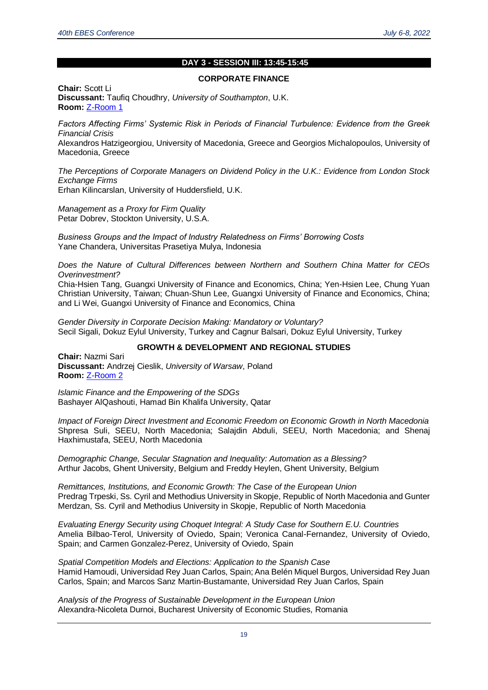#### **DAY 3 - SESSION III: 13:45-15:45**

#### **CORPORATE FINANCE**

**Chair:** Scott Li **Discussant:** Taufiq Choudhry, *University of Southampton*, U.K. **Room:** [Z-Room 1](https://us02web.zoom.us/j/83763513804)

*Factors Affecting Firms' Systemic Risk in Periods of Financial Turbulence: Evidence from the Greek Financial Crisis* Alexandros Hatzigeorgiou, University of Macedonia, Greece and Georgios Michalopoulos, University of Macedonia, Greece

*The Perceptions of Corporate Managers on Dividend Policy in the U.K.: Evidence from London Stock Exchange Firms*

Erhan Kilincarslan, University of Huddersfield, U.K.

*Management as a Proxy for Firm Quality* Petar Dobrev, Stockton University, U.S.A.

*Business Groups and the Impact of Industry Relatedness on Firms' Borrowing Costs* Yane Chandera, Universitas Prasetiya Mulya, Indonesia

*Does the Nature of Cultural Differences between Northern and Southern China Matter for CEOs Overinvestment?*

Chia-Hsien Tang, Guangxi University of Finance and Economics, China; Yen-Hsien Lee, Chung Yuan Christian University, Taiwan; Chuan-Shun Lee, Guangxi University of Finance and Economics, China; and Li Wei, Guangxi University of Finance and Economics, China

*Gender Diversity in Corporate Decision Making: Mandatory or Voluntary?* Secil Sigali, Dokuz Eylul University, Turkey and Cagnur Balsari, Dokuz Eylul University, Turkey

#### **GROWTH & DEVELOPMENT AND REGIONAL STUDIES**

**Chair:** Nazmi Sari **Discussant:** Andrzej Cieslik, *University of Warsaw*, Poland **Room:** [Z-Room 2](https://us02web.zoom.us/j/83242200549)

*Islamic Finance and the Empowering of the SDGs* Bashayer AlQashouti, Hamad Bin Khalifa University, Qatar

*Impact of Foreign Direct Investment and Economic Freedom on Economic Growth in North Macedonia* Shpresa Suli, SEEU, North Macedonia; Salajdin Abduli, SEEU, North Macedonia; and Shenaj Haxhimustafa, SEEU, North Macedonia

*Demographic Change, Secular Stagnation and Inequality: Automation as a Blessing?* Arthur Jacobs, Ghent University, Belgium and Freddy Heylen, Ghent University, Belgium

*Remittances, Institutions, and Economic Growth: The Case of the European Union* Predrag Trpeski, Ss. Cyril and Methodius University in Skopje, Republic of North Macedonia and Gunter Merdzan, Ss. Cyril and Methodius University in Skopje, Republic of North Macedonia

*Evaluating Energy Security using Choquet Integral: A Study Case for Southern E.U. Countries* Amelia Bilbao-Terol, University of Oviedo, Spain; Veronica Canal-Fernandez, University of Oviedo, Spain; and Carmen Gonzalez-Perez, University of Oviedo, Spain

*Spatial Competition Models and Elections: Application to the Spanish Case* Hamid Hamoudi, Universidad Rey Juan Carlos, Spain; Ana Belén Miquel Burgos, Universidad Rey Juan Carlos, Spain; and Marcos Sanz Martin-Bustamante, Universidad Rey Juan Carlos, Spain

*Analysis of the Progress of Sustainable Development in the European Union* Alexandra-Nicoleta Durnoi, Bucharest University of Economic Studies, Romania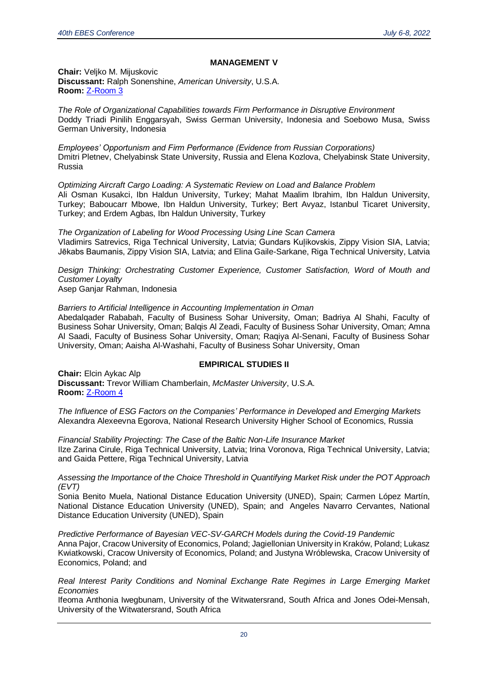#### **MANAGEMENT V**

**Chair:** Veljko M. Mijuskovic **Discussant:** Ralph Sonenshine, *American University*, U.S.A. **Room:** [Z-Room 3](https://us02web.zoom.us/j/86479773954)

*The Role of Organizational Capabilities towards Firm Performance in Disruptive Environment* Doddy Triadi Pinilih Enggarsyah, Swiss German University, Indonesia and Soebowo Musa, Swiss German University, Indonesia

*Employees' Opportunism and Firm Performance (Evidence from Russian Corporations)* Dmitri Pletnev, Chelyabinsk State University, Russia and Elena Kozlova, Chelyabinsk State University, Russia

*Optimizing Aircraft Cargo Loading: A Systematic Review on Load and Balance Problem* Ali Osman Kusakci, Ibn Haldun University, Turkey; Mahat Maalim Ibrahim, Ibn Haldun University, Turkey; Baboucarr Mbowe, Ibn Haldun University, Turkey; Bert Avyaz, Istanbul Ticaret University, Turkey; and Erdem Agbas, Ibn Haldun University, Turkey

*The Organization of Labeling for Wood Processing Using Line Scan Camera* Vladimirs Satrevics, Riga Technical University, Latvia; Gundars Kuļikovskis, Zippy Vision SIA, Latvia; Jēkabs Baumanis, Zippy Vision SIA, Latvia; and Elina Gaile-Sarkane, Riga Technical University, Latvia

*Design Thinking: Orchestrating Customer Experience, Customer Satisfaction, Word of Mouth and Customer Loyalty*

Asep Ganjar Rahman, Indonesia

*Barriers to Artificial Intelligence in Accounting Implementation in Oman* 

Abedalqader Rababah, Faculty of Business Sohar University, Oman; Badriya Al Shahi, Faculty of Business Sohar University, Oman; Balqis Al Zeadi, Faculty of Business Sohar University, Oman; Amna Al Saadi, Faculty of Business Sohar University, Oman; Raqiya Al-Senani, Faculty of Business Sohar University, Oman; Aaisha Al-Washahi, Faculty of Business Sohar University, Oman

#### **EMPIRICAL STUDIES II**

**Chair:** Elcin Aykac Alp **Discussant:** Trevor William Chamberlain, *McMaster University*, U.S.A. **Room:** [Z-Room 4](https://us02web.zoom.us/j/84784262532)

*The Influence of ESG Factors on the Companies' Performance in Developed and Emerging Markets*  Alexandra Alexeevna Egorova, National Research University Higher School of Economics, Russia

*Financial Stability Projecting: The Case of the Baltic Non-Life Insurance Market* Ilze Zarina Cirule, Riga Technical University, Latvia; Irina Voronova, Riga Technical University, Latvia; and Gaida Pettere, Riga Technical University, Latvia

*Assessing the Importance of the Choice Threshold in Quantifying Market Risk under the POT Approach (EVT)*

Sonia Benito Muela, National Distance Education University (UNED), Spain; Carmen López Martín, National Distance Education University (UNED), Spain; and Angeles Navarro Cervantes, National Distance Education University (UNED), Spain

*Predictive Performance of Bayesian VEC-SV-GARCH Models during the Covid-19 Pandemic* Anna Pajor, Cracow University of Economics, Poland; Jagiellonian University in Kraków, Poland; Lukasz Kwiatkowski, Cracow University of Economics, Poland; and Justyna Wróblewska, Cracow University of Economics, Poland; and

*Real Interest Parity Conditions and Nominal Exchange Rate Regimes in Large Emerging Market Economies*

Ifeoma Anthonia Iwegbunam, University of the Witwatersrand, South Africa and Jones Odei-Mensah, University of the Witwatersrand, South Africa